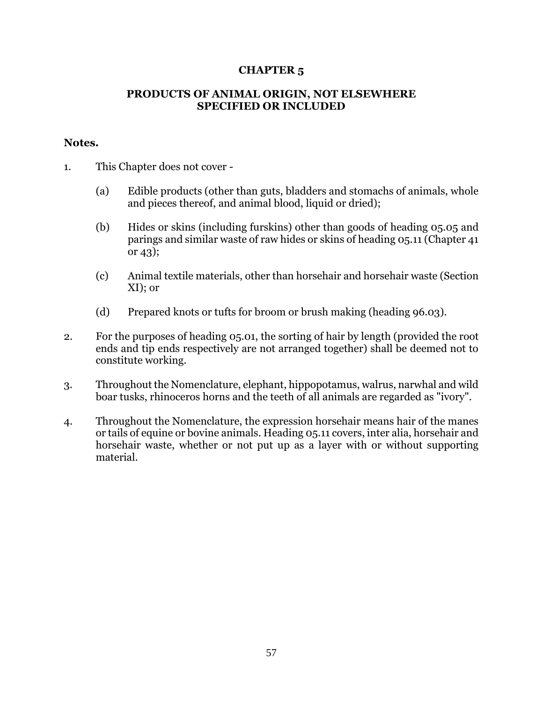## **CHAPTER 5**

## **PRODUCTS OF ANIMAL ORIGIN, NOT ELSEWHERE SPECIFIED OR INCLUDED**

## **Notes.**

- 1. This Chapter does not cover
	- (a) Edible products (other than guts, bladders and stomachs of animals, whole and pieces thereof, and animal blood, liquid or dried);
	- (b) Hides or skins (including furskins) other than goods of heading 05.05 and parings and similar waste of raw hides or skins of heading 05.11 (Chapter 41 or 43);
	- (c) Animal textile materials, other than horsehair and horsehair waste (Section XI); or
	- (d) Prepared knots or tufts for broom or brush making (heading 96.03).
- 2. For the purposes of heading 05.01, the sorting of hair by length (provided the root ends and tip ends respectively are not arranged together) shall be deemed not to constitute working.
- 3. Throughout the Nomenclature, elephant, hippopotamus, walrus, narwhal and wild boar tusks, rhinoceros horns and the teeth of all animals are regarded as "ivory".
- 4. Throughout the Nomenclature, the expression horsehair means hair of the manes or tails of equine or bovine animals. Heading 05.11 covers, inter alia, horsehair and horsehair waste, whether or not put up as a layer with or without supporting material.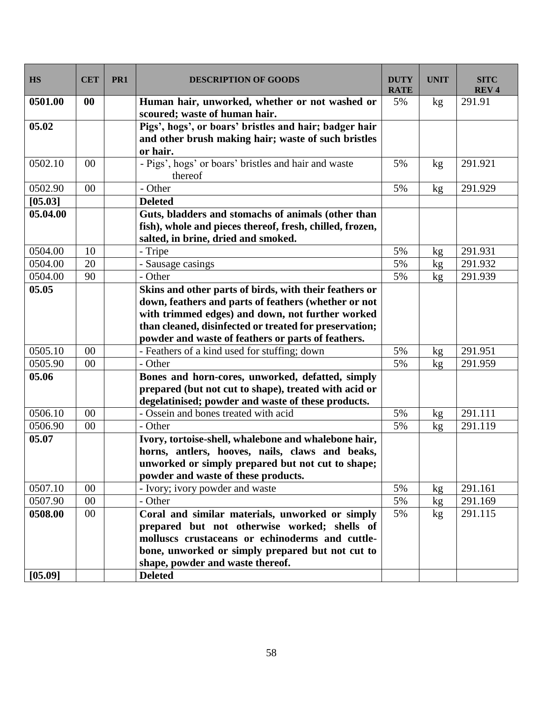| <b>HS</b> | <b>CET</b> | PR1 | <b>DESCRIPTION OF GOODS</b>                                     | <b>DUTY</b><br><b>RATE</b> | <b>UNIT</b>     | <b>SITC</b><br><b>REV4</b> |
|-----------|------------|-----|-----------------------------------------------------------------|----------------------------|-----------------|----------------------------|
| 0501.00   | $\bf{00}$  |     | Human hair, unworked, whether or not washed or                  | 5%                         | kg              | 291.91                     |
|           |            |     | scoured; waste of human hair.                                   |                            |                 |                            |
| 05.02     |            |     | Pigs', hogs', or boars' bristles and hair; badger hair          |                            |                 |                            |
|           |            |     | and other brush making hair; waste of such bristles             |                            |                 |                            |
|           |            |     | or hair.                                                        |                            |                 |                            |
| 0502.10   | 00         |     | - Pigs', hogs' or boars' bristles and hair and waste<br>thereof | 5%                         | kg              | 291.921                    |
| 0502.90   | 00         |     | - Other                                                         | 5%                         | kg              | 291.929                    |
| [05.03]   |            |     | <b>Deleted</b>                                                  |                            |                 |                            |
| 05.04.00  |            |     | Guts, bladders and stomachs of animals (other than              |                            |                 |                            |
|           |            |     | fish), whole and pieces thereof, fresh, chilled, frozen,        |                            |                 |                            |
|           |            |     | salted, in brine, dried and smoked.                             |                            |                 |                            |
| 0504.00   | 10         |     | - Tripe                                                         | 5%                         | kg              | 291.931                    |
| 0504.00   | 20         |     | - Sausage casings                                               | 5%                         | kg              | 291.932                    |
| 0504.00   | 90         |     | - Other                                                         | 5%                         | kg              | 291.939                    |
| 05.05     |            |     | Skins and other parts of birds, with their feathers or          |                            |                 |                            |
|           |            |     | down, feathers and parts of feathers (whether or not            |                            |                 |                            |
|           |            |     | with trimmed edges) and down, not further worked                |                            |                 |                            |
|           |            |     | than cleaned, disinfected or treated for preservation;          |                            |                 |                            |
|           |            |     | powder and waste of feathers or parts of feathers.              |                            |                 |                            |
| 0505.10   | 00         |     | - Feathers of a kind used for stuffing; down                    | 5%                         | kg              | 291.951                    |
| 0505.90   | 00         |     | - Other                                                         | 5%                         | kg              | 291.959                    |
| 05.06     |            |     | Bones and horn-cores, unworked, defatted, simply                |                            |                 |                            |
|           |            |     | prepared (but not cut to shape), treated with acid or           |                            |                 |                            |
|           |            |     | degelatinised; powder and waste of these products.              |                            |                 |                            |
| 0506.10   | 00         |     | - Ossein and bones treated with acid                            | 5%                         | kg              | 291.111                    |
| 0506.90   | 00         |     | - Other                                                         | 5%                         | kg              | 291.119                    |
| 05.07     |            |     | Ivory, tortoise-shell, whalebone and whalebone hair,            |                            |                 |                            |
|           |            |     | horns, antlers, hooves, nails, claws and beaks,                 |                            |                 |                            |
|           |            |     | unworked or simply prepared but not cut to shape;               |                            |                 |                            |
|           |            |     | powder and waste of these products.                             |                            |                 |                            |
| 0507.10   | 00         |     | - Ivory; ivory powder and waste                                 | 5%                         | kg              | 291.161                    |
| 0507.90   | 00         |     | - Other                                                         | 5%                         | kg <sub>2</sub> | 291.169                    |
| 0508.00   | $00\,$     |     | Coral and similar materials, unworked or simply                 | 5%                         | kg              | 291.115                    |
|           |            |     | prepared but not otherwise worked; shells of                    |                            |                 |                            |
|           |            |     | molluscs crustaceans or echinoderms and cuttle-                 |                            |                 |                            |
|           |            |     | bone, unworked or simply prepared but not cut to                |                            |                 |                            |
|           |            |     | shape, powder and waste thereof.                                |                            |                 |                            |
| [05.09]   |            |     | <b>Deleted</b>                                                  |                            |                 |                            |